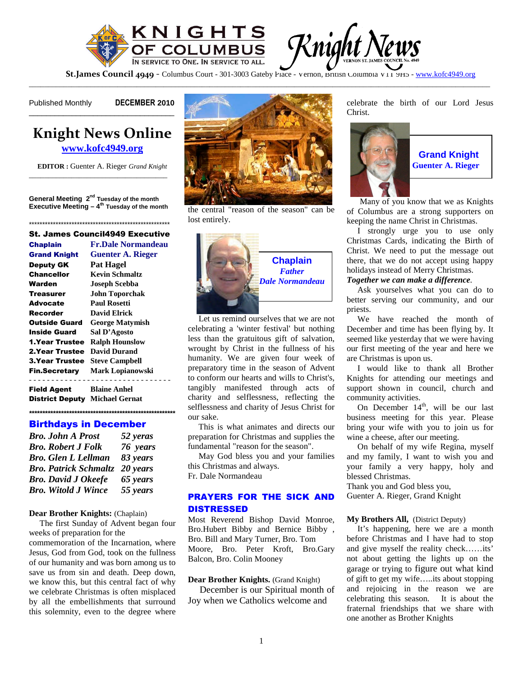

**St.James Council 4949** - Columbus Court - 301-3003 Gateby Place - Vernon, British Columbia V11 9H5 - www.kofc4949.org

\_\_\_\_\_\_\_\_\_\_\_\_\_\_\_\_\_\_\_\_\_\_\_\_\_\_\_\_\_\_\_\_\_\_\_\_\_\_\_\_\_\_\_\_\_\_\_\_\_\_\_\_\_\_\_\_\_\_\_\_\_\_\_\_\_\_\_\_\_\_\_\_\_\_\_\_\_\_\_\_\_\_\_\_\_\_\_\_\_\_\_\_\_\_\_\_\_\_\_\_\_\_\_\_\_\_\_\_\_\_\_\_\_\_\_\_\_\_\_\_

Published Monthly DECEMBER 2010

# **Knight News Online www.kofc4949.org**

\_\_\_\_\_\_\_\_\_\_\_\_\_\_\_\_\_\_\_\_\_\_\_\_\_\_\_\_\_\_\_\_\_\_

**EDITOR :** Guenter A. Rieger *Grand Knight* \_\_\_\_\_\_\_\_\_\_\_\_\_\_\_\_\_\_\_\_\_\_\_\_\_\_\_\_\_\_\_\_\_\_\_\_

**General Meeting 2nd Tuesday of the month Executive Meeting – 4th Tuesday of the month**

\*\*\*\*\*\*\*\*\*\*\*\*\*\*\*\*\*\*\*\*\*\*\*\*\*\*\*\*\*\*\*\*\*\*\*\*\*\*\*\*\*\*\*\*\*\*\*\*\*\*\*\*\* St. James Council4949 Executive

| <b>Chaplain</b>                       | <b>Fr.Dale Normandeau</b> |
|---------------------------------------|---------------------------|
| <b>Grand Knight</b>                   | <b>Guenter A. Rieger</b>  |
| <b>Deputy GK</b>                      | <b>Pat Hagel</b>          |
| Chancellor                            | <b>Kevin Schmaltz</b>     |
| Warden                                | <b>Joseph Scebba</b>      |
| <b>Treasurer</b>                      | <b>John Toporchak</b>     |
| Advocate                              | Paul Rosetti              |
| Recorder                              | <b>David Elrick</b>       |
| Outside Guard                         | <b>George Matymish</b>    |
| <b>Inside Guard</b>                   | Sal D'Agosto              |
| <b>1.Year Trustee</b>                 | <b>Ralph Hounslow</b>     |
| 2. Year Trustee                       | David Durand              |
| <b>3. Year Trustee</b>                | <b>Steve Campbell</b>     |
| <b>Fin.Secretary</b>                  | <b>Mark Lopianowski</b>   |
| Field Agent                           | <b>Blaine Anhel</b>       |
| <b>District Deputy Michael Gernat</b> |                           |

**\*\*\*\*\*\*\*\*\*\*\*\*\*\*\*\*\*\*\*\*\*\*\*\*\*\*\*\*\*\*\*\*\*\*\*\*\*\*\*\*\*\*\*\*\*\*\*\*\*\*\*\*\*\*\***

#### Birthdays in December *Bro. John A Prost 52 yeras*

| <i><b>Bro. John A Prost</b></i>       | 52 yeras |
|---------------------------------------|----------|
| <b>Bro. Robert J Folk</b>             | 76 years |
| <b>Bro.</b> Glen L Lellman            | 83 years |
| <b>Bro. Patrick Schmaltz</b> 20 years |          |
| <b>Bro. David J Okeefe</b>            | 65 years |
| <b>Bro.</b> Witold J Wince            | 55 years |
|                                       |          |

#### **Dear Brother Knights:** (Chaplain)

The first Sunday of Advent began four weeks of preparation for the

commemoration of the Incarnation, where Jesus, God from God, took on the fullness of our humanity and was born among us to save us from sin and death. Deep down, we know this, but this central fact of why we celebrate Christmas is often misplaced by all the embellishments that surround this solemnity, even to the degree where



the central "reason of the season" can be lost entirely.



Let us remind ourselves that we are not celebrating a 'winter festival' but nothing less than the gratuitous gift of salvation, wrought by Christ in the fullness of his humanity. We are given four week of preparatory time in the season of Advent to conform our hearts and wills to Christ's, tangibly manifested through acts of charity and selflessness, reflecting the selflessness and charity of Jesus Christ for our sake.

This is what animates and directs our preparation for Christmas and supplies the fundamental "reason for the season".

May God bless you and your families this Christmas and always. Fr. Dale Normandeau

## PRAYERS FOR THE SICK AND DISTRESSED

Most Reverend Bishop David Monroe, Bro.Hubert Bibby and Bernice Bibby , Bro. Bill and Mary Turner, Bro. Tom Moore, Bro. Peter Kroft, Bro.Gary Balcon, Bro. Colin Mooney

**Dear Brother Knights.** (Grand Knight)

December is our Spiritual month of Joy when we Catholics welcome and

celebrate the birth of our Lord Jesus Christ.



**Grand Knight Guenter A. Rieger**

Many of you know that we as Knights of Columbus are a strong supporters on keeping the name Christ in Christmas.

I strongly urge you to use only Christmas Cards, indicating the Birth of Christ. We need to put the message out there, that we do not accept using happy holidays instead of Merry Christmas.

#### *Together we can make a difference.*

Ask yourselves what you can do to better serving our community, and our priests.

We have reached the month of December and time has been flying by. It seemed like yesterday that we were having our first meeting of the year and here we are Christmas is upon us.

I would like to thank all Brother Knights for attending our meetings and support shown in council, church and community activities.

On December  $14<sup>th</sup>$ , will be our last business meeting for this year. Please bring your wife with you to join us for wine a cheese, after our meeting.

On behalf of my wife Regina, myself and my family, I want to wish you and your family a very happy, holy and blessed Christmas.

Thank you and God bless you, Guenter A. Rieger, Grand Knight

### **My Brothers All,** (District Deputy)

It's happening, here we are a month before Christmas and I have had to stop and give myself the reality check……its' not about getting the lights up on the garage or trying to figure out what kind of gift to get my wife…..its about stopping and rejoicing in the reason we are celebrating this season. It is about the fraternal friendships that we share with one another as Brother Knights